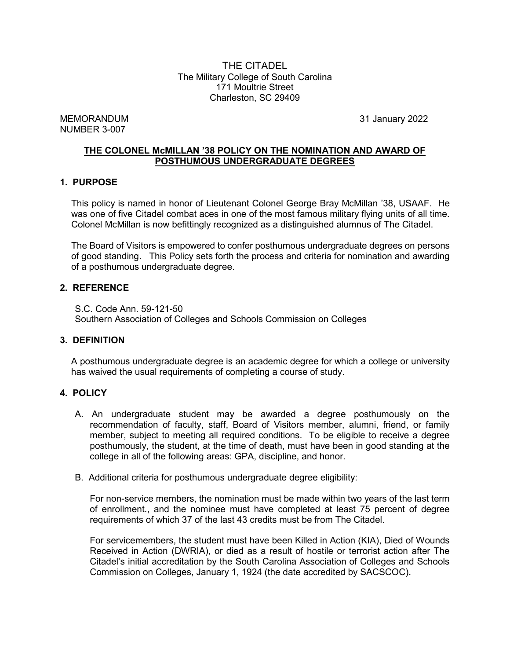THE CITADEL The Military College of South Carolina 171 Moultrie Street Charleston, SC 29409

MEMORANDUM 31 January 2022 NUMBER 3-007

### **THE COLONEL McMILLAN '38 POLICY ON THE NOMINATION AND AWARD OF POSTHUMOUS UNDERGRADUATE DEGREES**

#### **1. PURPOSE**

This policy is named in honor of Lieutenant Colonel George Bray McMillan '38, USAAF. He was one of five Citadel combat aces in one of the most famous military flying units of all time. Colonel McMillan is now befittingly recognized as a distinguished alumnus of The Citadel.

The Board of Visitors is empowered to confer posthumous undergraduate degrees on persons of good standing. This Policy sets forth the process and criteria for nomination and awarding of a posthumous undergraduate degree.

#### **2. REFERENCE**

S.C. Code Ann. 59-121-50 Southern Association of Colleges and Schools Commission on Colleges

#### **3. DEFINITION**

A posthumous undergraduate degree is an academic degree for which a college or university has waived the usual requirements of completing a course of study.

#### **4. POLICY**

- A. An undergraduate student may be awarded a degree posthumously on the recommendation of faculty, staff, Board of Visitors member, alumni, friend, or family member, subject to meeting all required conditions. To be eligible to receive a degree posthumously, the student, at the time of death, must have been in good standing at the college in all of the following areas: GPA, discipline, and honor.
- B. Additional criteria for posthumous undergraduate degree eligibility:

For non-service members, the nomination must be made within two years of the last term of enrollment., and the nominee must have completed at least 75 percent of degree requirements of which 37 of the last 43 credits must be from The Citadel.

For servicemembers, the student must have been Killed in Action (KIA), Died of Wounds Received in Action (DWRIA), or died as a result of hostile or terrorist action after The Citadel's initial accreditation by the South Carolina Association of Colleges and Schools Commission on Colleges, January 1, 1924 (the date accredited by SACSCOC).